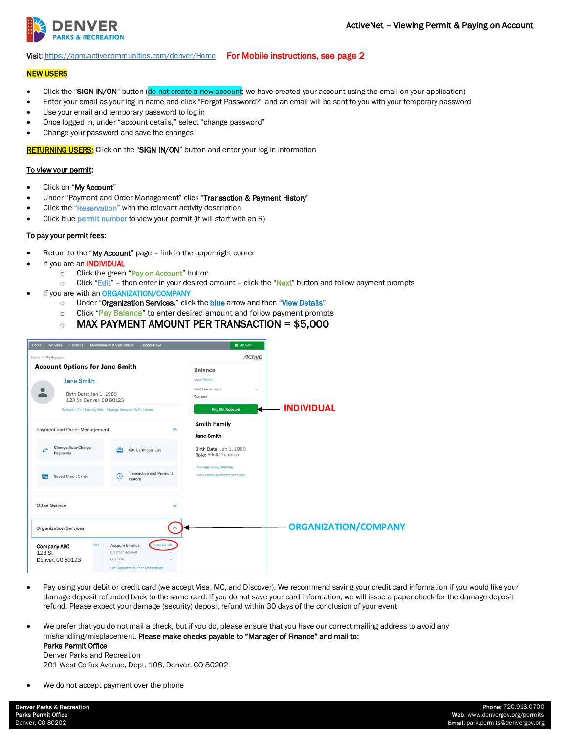

#### Visit[: https://apm.activecommunities.com/denver/Home](https://apm.activecommunities.com/denver/Home) For Mobile instructions, see page 2

# **NEW USERS**

- Click the "SIGN IN/ON" button (do not create a new account; we have created your account using the email on your application)
- Enter your email as your log in name and click "Forgot Password?" and an email will be sent to you with your temporary password
- Use your email and temporary password to log in
- Once logged in, under "account details," select "change password"
- Change your password and save the changes

RETURNING USERS: Click on the "SIGN IN/ON" button and enter your log in information

## To view your permit:

- Click on "My Account"
- Under "Payment and Order Management" click "Transaction & Payment History"
- Click the "Reservation" with the relevant activity description
- Click blue permit number to view your permit (it will start with an R)

#### To pay your permit fees:

- Return to the "My Account" page link in the upper right corner
- If you are an **INDIVIDUAL** 
	- o Click the green "Pay on Account" button
	- $\circ$  Click "Edit" then enter in your desired amount click the "Next" button and follow payment prompts
	- If you are with an ORGANIZATION/COMPANY
		- o Under "Organization Services," click the blue arrow and then "View Details"
		- $\circ$  Click "Pay Balance" to enter desired amount and follow payment prompts
		- $\circ$  MAX PAYMENT AMOUNT PER TRANSACTION = \$5,000

| Memberships & Visit Passes<br>Donate Now!<br>Home<br><b>Activities</b><br><b>Facilities</b>                                                                                      | My Cart                                                                                                                        |
|----------------------------------------------------------------------------------------------------------------------------------------------------------------------------------|--------------------------------------------------------------------------------------------------------------------------------|
| Home > My Account                                                                                                                                                                | ACTIVE                                                                                                                         |
| <b>Account Options for Jane Smith</b><br><b>Jane Smith</b><br>Birth Date: Jan 1, 1980<br>123 St, Denver, CO 80123<br>Password And Security Info Change Answers To Questions      | Balance<br><b>View Details</b><br>Credit on account<br>$\sim$<br>Due now<br>$\sim$<br><b>INDIVIDUAL</b><br>Pay On Account<br>и |
| <b>Payment and Order Management</b><br>ㅅ<br>Change Auto-Charge<br>÷<br><b>Gift Certificate List</b><br>Paymonts                                                                  | <b>Smith Family</b><br>Jane Smith<br>Birth Date: Jan 1, 1980<br>Role: Adult/Guardian                                           |
| <b>Transaction and Payment</b><br>⋿<br><b>Saved Credit Cards</b><br>$\circ$<br>History                                                                                           | Manage Family Member<br><b>View Family Members Schedule</b>                                                                    |
| <b>Other Service</b>                                                                                                                                                             |                                                                                                                                |
| <b>Organization Services</b>                                                                                                                                                     | <b>ORGANIZATION/COMPANY</b>                                                                                                    |
| <b>View Details</b><br>Edit<br>Account balance<br><b>Company ABC</b><br>123St<br>Credit on account<br>Due now<br>Denver, CO 80123<br><b>List Organization Prior Transactions</b> |                                                                                                                                |

- Pay using your debit or credit card (we accept Visa, MC, and Discover). We recommend saving your credit card information if you would like your damage deposit refunded back to the same card. If you do not save your card information, we will issue a paper check for the damage deposit refund. Please expect your damage (security) deposit refund within 30 days of the conclusion of your event
- We prefer that you do not mail a check, but if you do, please ensure that you have our correct mailing address to avoid any mishandling/misplacement. Please make checks payable to "Manager of Finance" and mail to: Parks Permit Office

Denver Parks and Recreation 201 West Colfax Avenue, Dept. 108, Denver, CO 80202

We do not accept payment over the phone